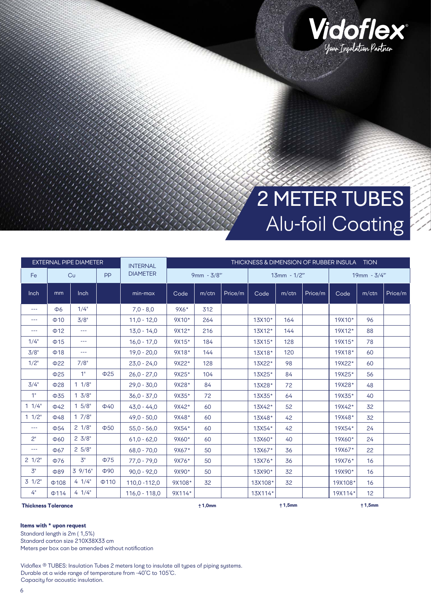

## 2 METER TUBES Alu-foil Coating

|                                                 |            | <b>EXTERNAL PIPE DIAMETER</b> |            | <b>INTERNAL</b> |              | THICKNESS & DIMENSION OF RUBBER INSULA TION |         |         |               |         |               |                 |         |  |  |
|-------------------------------------------------|------------|-------------------------------|------------|-----------------|--------------|---------------------------------------------|---------|---------|---------------|---------|---------------|-----------------|---------|--|--|
| Fe                                              |            | <b>PP</b><br>Cu               |            | <b>DIAMETER</b> | $9mm - 3/8"$ |                                             |         |         | $13mm - 1/2"$ |         | $19mm - 3/4"$ |                 |         |  |  |
| Inch                                            | mm         | <b>Inch</b>                   |            | min-max         | Code         | m/ctn                                       | Price/m | Code    | $m$ /ctn      | Price/m | Code          | $m$ /ctn        | Price/m |  |  |
| $\qquad \qquad - -$                             | Ф6         | 1/4"                          |            | $7.0 - 8.0$     | $9X6*$       | 312                                         |         |         |               |         |               |                 |         |  |  |
| $- - -$                                         | $\Phi$ 10  | 3/8"                          |            | $11,0 - 12,0$   | 9X10*        | 264                                         |         | 13X10*  | 164           |         | 19X10*        | 96              |         |  |  |
| $---$                                           | $\Phi$ 12  | $---$                         |            | $13.0 - 14.0$   | 9X12*        | 216                                         |         | 13X12*  | 144           |         | 19X12*        | 88              |         |  |  |
| 1/4"                                            | $\Phi$ 15  | $---$                         |            | $16,0 - 17,0$   | 9X15*        | 184                                         |         | 13X15*  | 128           |         | 19X15*        | 78              |         |  |  |
| 3/8"                                            | $\Phi$ 18  | $-- -$                        |            | $19.0 - 20.0$   | 9X18*        | 144                                         |         | 13X18*  | 120           |         | 19X18*        | 60              |         |  |  |
| 1/2"                                            | $\Phi$ 22  | 7/8"                          |            | $23,0 - 24,0$   | 9X22*        | 128                                         |         | 13X22*  | 98            |         | 19X22*        | 60              |         |  |  |
|                                                 | $\Phi$ 25  | 1"                            | $\Phi$ 25  | $26.0 - 27.0$   | 9X25*        | 104                                         |         | 13X25*  | 84            |         | 19X25*        | 56              |         |  |  |
| 3/4"                                            | $\Phi$ 28  | $1 \frac{1}{8}$               |            | $29.0 - 30.0$   | 9X28*        | 84                                          |         | 13X28*  | 72            |         | 19X28*        | 48              |         |  |  |
| 1"                                              | $\Phi$ 35  | $1 \frac{3}{8}$               |            | $36.0 - 37.0$   | 9X35*        | 72                                          |         | 13X35*  | 64            |         | 19X35*        | 40              |         |  |  |
| 11/4"                                           | $\Phi$ 42  | 15/8"                         | $\Phi$ 40  | $43.0 - 44.0$   | 9X42*        | 60                                          |         | 13X42*  | 52            |         | 19X42*        | 32              |         |  |  |
| 11/2"                                           | $\Phi$ 48  | 17/8"                         |            | $49.0 - 50.0$   | 9X48*        | 60                                          |         | 13X48*  | 42            |         | 19X48*        | 32              |         |  |  |
| $\qquad \qquad - -$                             | $\Phi$ 54  | $2 \frac{1}{8}$               | $\Phi$ 50  | $55,0 - 56,0$   | 9X54*        | 60                                          |         | 13X54*  | 42            |         | 19X54*        | 24              |         |  |  |
| 2"                                              | $\Phi$ 60  | $2 \frac{3}{8}$               |            | $61.0 - 62.0$   | 9X60*        | 60                                          |         | 13X60*  | 40            |         | 19X60*        | 24              |         |  |  |
| $- - -$                                         | $\Phi$ 67  | 25/8"                         |            | $68,0 - 70,0$   | 9X67*        | 50                                          |         | 13X67*  | 36            |         | 19X67*        | 22              |         |  |  |
| $2 \frac{1}{2}$                                 | $\Phi$ 76  | 3"                            | $\Phi$ 75  | $77,0 - 79,0$   | 9X76*        | 50                                          |         | 13X76*  | 36            |         | 19X76*        | 16              |         |  |  |
| $\mathfrak{Z}^{\scriptscriptstyle{\mathsf{H}}}$ | <b>Φ89</b> | 39/16"                        | $\Phi$ 90  | $90,0 - 92,0$   | 9X90*        | 50                                          |         | 13X90*  | 32            |         | 19X90*        | 16              |         |  |  |
| $3 \frac{1}{2}$                                 | $\Phi$ 108 | 41/4"                         | $\Phi$ 110 | 110,0 - 112,0   | 9X108*       | 32                                          |         | 13X108* | 32            |         | 19X108*       | 16              |         |  |  |
| 4"                                              | $\Phi$ 114 | 41/4"                         |            | $116,0 - 118,0$ | 9X114*       |                                             |         | 13X114* |               |         | 19X114*       | 12 <sup>°</sup> |         |  |  |
| <b>Thickness Tolerance</b>                      |            |                               |            |                 |              | ±1,0mm                                      |         |         | ±1,5mm        |         |               | ±1,5mm          |         |  |  |

**Thickness Tolerance** 

**Items with \* upon request**

Standard length is 2m ( 1,5%)

Standard carton size 210X38X33 cm

Meters per box can be amended without notification

Vidoflex ® TUBES: Insulation Tubes 2 meters long to insulate all types of piping systems. Durable at a wide range of temperature from -40°C to 105°C. Capacity for acoustic insulation.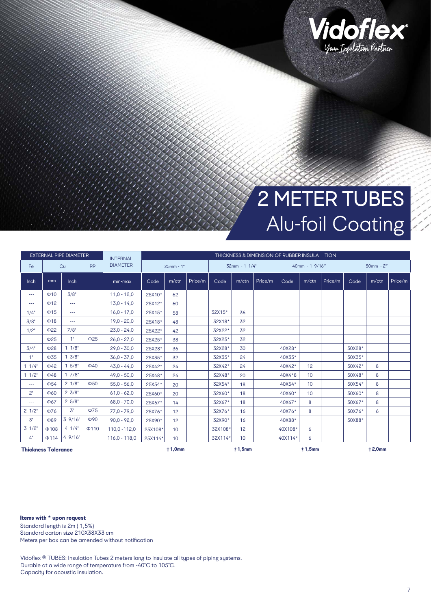

## 2 METER TUBES Alu-foil Coating

| <b>EXTERNAL PIPE DIAMETER</b> |            |                 |            | <b>INTERNAL</b> |           |                 | THICKNESS & DIMENSION OF RUBBER INSULA TION |         |       |         |                |                 |         |             |          |         |  |
|-------------------------------|------------|-----------------|------------|-----------------|-----------|-----------------|---------------------------------------------|---------|-------|---------|----------------|-----------------|---------|-------------|----------|---------|--|
| Fe                            |            | <b>PP</b><br>Cu |            | <b>DIAMETER</b> | 25mm - 1" |                 | $32mm - 1 1/4"$                             |         |       |         | 40mm - 1 9/16" |                 |         | $50mm - 2"$ |          |         |  |
| Inch                          | mm         | Inch            |            | $min-max$       | Code      | m/ctn           | Price/m                                     | Code    | m/ctn | Price/m | Code           | m/ctn           | Price/m | Code        | $m$ /ctn | Price/m |  |
| ---                           | $\Phi$ 10  | 3/8"            |            | $11.0 - 12.0$   | 25X10*    | 62              |                                             |         |       |         |                |                 |         |             |          |         |  |
| ---                           | $\Phi$ 12  | $\cdots$        |            | $13,0 - 14,0$   | 25X12*    | 60              |                                             |         |       |         |                |                 |         |             |          |         |  |
| 1/4"                          | $\Phi$ 15  | $\cdots$        |            | $16.0 - 17.0$   | 25X15*    | 58              |                                             | 32X15*  | 36    |         |                |                 |         |             |          |         |  |
| 3/8"                          | $\Phi$ 18  | $\cdots$        |            | $19.0 - 20.0$   | 25X18*    | 48              |                                             | 32X18*  | 32    |         |                |                 |         |             |          |         |  |
| $1/2$ "                       | $\Phi$ 22  | 7/8"            |            | $23,0 - 24,0$   | 25X22*    | 42              |                                             | 32X22*  | 32    |         |                |                 |         |             |          |         |  |
|                               | $\Phi$ 25  | 1"              | $\Phi$ 25  | $26.0 - 27.0$   | 25X25*    | 38              |                                             | 32X25*  | 32    |         |                |                 |         |             |          |         |  |
| 3/4"                          | $\Phi$ 28  | 11/8"           |            | $29.0 - 30.0$   | 25X28*    | 36              |                                             | 32X28*  | 30    |         | 40X28*         |                 |         | 50X28*      |          |         |  |
| 1"                            | $\Phi$ 35  | $1 \frac{3}{8}$ |            | $36.0 - 37.0$   | 25X35*    | 32              |                                             | 32X35*  | 24    |         | 40X35*         |                 |         | 50X35*      |          |         |  |
| 11/4"                         | $\Phi$ 42  | $1.5/8$ "       | $\Phi$ 40  | $43,0 - 44,0$   | 25X42*    | 24              |                                             | 32X42*  | 24    |         | 40X42*         | 12 <sup>2</sup> |         | 50X42*      | 8        |         |  |
| 11/2"                         | $\Phi$ 48  | 17/8"           |            | $49.0 - 50.0$   | 25X48*    | 24              |                                             | 32X48*  | 20    |         | 40X4*8         | 10 <sup>1</sup> |         | 50X48*      | 8        |         |  |
| $\cdots$                      | $\Phi$ 54  | $2 \frac{1}{8}$ | $\Phi$ 50  | $55.0 - 56.0$   | 25X54*    | 20              |                                             | 32X54*  | 18    |         | 40X54*         | 10 <sup>°</sup> |         | 50X54*      | 8        |         |  |
| 2"                            | $\Phi$ 60  | $2 \frac{3}{8}$ |            | $61,0 - 62,0$   | 25X60*    | 20              |                                             | 32X60*  | 18    |         | 40X60*         | 10 <sup>°</sup> |         | 50X60*      | 8        |         |  |
| ---                           | $\Phi$ 67  | $2\,5/8"$       |            | $68.0 - 70.0$   | 25X67*    | 14              |                                             | 32X67*  | 18    |         | 40X67*         | 8               |         | 50X67*      | 8        |         |  |
| $2 \frac{1}{2}$               | $\Phi$ 76  | 3"              | $\Phi$ 75  | $77,0 - 79,0$   | 25X76*    | 12              |                                             | 32X76*  | 16    |         | 40X76*         | 8               |         | 50X76*      | 6        |         |  |
| 3"                            | $\Phi$ 89  | 39/16"          | $\Phi$ 90  | $90.0 - 92.0$   | 25X90*    | 12              |                                             | 32X90*  | 16    |         | 40X88*         |                 |         | 50X88*      |          |         |  |
| $3 \frac{1}{2}$               | $\Phi$ 108 | 4 1/4"          | $\Phi$ 110 | 110,0 - 112,0   | 25X108*   | 10 <sup>°</sup> |                                             | 32X108* | 12    |         | 40X108*        | 6               |         |             |          |         |  |
| 4"                            | $\Phi$ 114 | 49/16"          |            | $116.0 - 118.0$ | 25X114*   | 10 <sup>1</sup> |                                             | 32X114* | 10    |         | 40X114*        | 6               |         |             |          |         |  |
| <b>Thickness Tolerance</b>    |            |                 |            |                 |           | ±1,0mm          |                                             | ±1,5mm  |       |         |                | ±1,5mm          |         | ±2,0mm      |          |         |  |

**Items with \* upon request**

Standard length is 2m ( 1,5%) Standard carton size 210X38X33 cm Meters per box can be amended without notification

Vidoflex ® TUBES: Insulation Tubes 2 meters long to insulate all types of piping systems. Durable at a wide range of temperature from -40°C to 105°C. Capacity for acoustic insulation.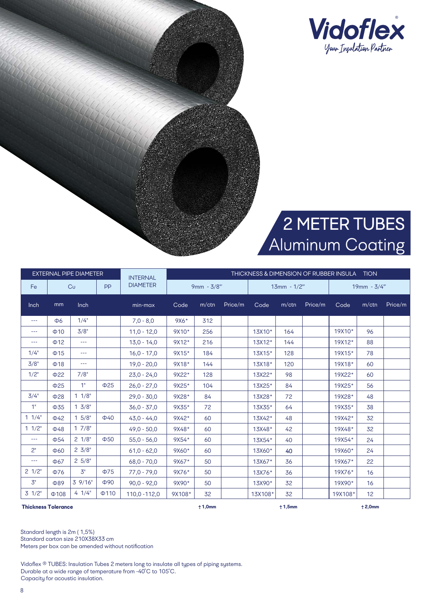

## 2 METER TUBES Aluminum Coating

|                            |            | <b>EXTERNAL PIPE DIAMETER</b> |            | <b>INTERNAL</b> |            | THICKNESS & DIMENSION OF RUBBER INSULA TION |               |         |          |             |         |          |         |  |  |
|----------------------------|------------|-------------------------------|------------|-----------------|------------|---------------------------------------------|---------------|---------|----------|-------------|---------|----------|---------|--|--|
| Fe                         |            | Cu<br><b>PP</b>               |            | <b>DIAMETER</b> | 9mm - 3/8" |                                             | $13mm - 1/2"$ |         |          | 19mm - 3/4" |         |          |         |  |  |
| <b>Inch</b>                | mm         | Inch                          |            | min-max         | Code       | $m$ /ctn                                    | Price/m       | Code    | $m$ /ctn | Price/m     | Code    | $m$ /ctn | Price/m |  |  |
| $---$                      | Ф6         | 1/4"                          |            | $7.0 - 8.0$     | $9X6*$     | 312                                         |               |         |          |             |         |          |         |  |  |
| $---$                      | $\Phi$ 10  | 3/8"                          |            | $11.0 - 12.0$   | 9X10*      | 256                                         |               | 13X10*  | 164      |             | 19X10*  | 96       |         |  |  |
| ---                        | $\Phi$ 12  | $---$                         |            | $13.0 - 14.0$   | 9X12*      | 216                                         |               | 13X12*  | 144      |             | 19X12*  | 88       |         |  |  |
| 1/4"                       | $\Phi$ 15  | $-- -$                        |            | $16.0 - 17.0$   | 9X15*      | 184                                         |               | 13X15*  | 128      |             | 19X15*  | 78       |         |  |  |
| 3/8"                       | $\Phi$ 18  | $---$                         |            | $19.0 - 20.0$   | 9X18*      | 144                                         |               | 13X18*  | 120      |             | 19X18*  | 60       |         |  |  |
| 1/2"                       | $\Phi$ 22  | 7/8"                          |            | $23,0 - 24,0$   | 9X22*      | 128                                         |               | 13X22*  | 98       |             | 19X22*  | 60       |         |  |  |
|                            | $\Phi$ 25  | 1"                            | $\Phi$ 25  | $26.0 - 27.0$   | 9X25*      | 104                                         |               | 13X25*  | 84       |             | 19X25*  | 56       |         |  |  |
| 3/4"                       | $\Phi$ 28  | 11/8"                         |            | $29.0 - 30.0$   | 9X28*      | 84                                          |               | 13X28*  | 72       |             | 19X28*  | 48       |         |  |  |
| 1"                         | $\Phi$ 35  | $1 \frac{3}{8}$               |            | $36.0 - 37.0$   | 9X35*      | 72                                          |               | 13X35*  | 64       |             | 19X35*  | 38       |         |  |  |
| 11/4"                      | $\Phi$ 42  | $15/8$ "                      | $\Phi$ 40  | $43.0 - 44.0$   | 9X42*      | 60                                          |               | 13X42*  | 48       |             | 19X42*  | 32       |         |  |  |
| 11/2"                      | $\Phi$ 48  | 17/8"                         |            | $49.0 - 50.0$   | 9X48*      | 60                                          |               | 13X48*  | 42       |             | 19X48*  | 32       |         |  |  |
| ---                        | $\Phi$ 54  | $2 \frac{1}{8}$               | $\Phi$ 50  | $55,0 - 56,0$   | 9X54*      | 60                                          |               | 13X54*  | 40       |             | 19X54*  | 24       |         |  |  |
| 2"                         | $\Phi$ 60  | $2 \frac{3}{8}$               |            | $61.0 - 62.0$   | 9X60*      | 60                                          |               | 13X60*  | 40       |             | 19X60*  | 24       |         |  |  |
| ---                        | $\Phi$ 67  | $2\,5/8"$                     |            | $68.0 - 70.0$   | 9X67*      | 50                                          |               | 13X67*  | 36       |             | 19X67*  | 22       |         |  |  |
| $2 \frac{1}{2}$            | $\Phi$ 76  | 3"                            | $\Phi$ 75  | $77.0 - 79.0$   | 9X76*      | 50                                          |               | 13X76*  | 36       |             | 19X76*  | 16       |         |  |  |
| 3"                         | Ф89        | 39/16"                        | $\Phi$ 90  | $90.0 - 92.0$   | 9X90*      | 50                                          |               | 13X90*  | 32       |             | 19X90*  | 16       |         |  |  |
| $3 \frac{1}{2}$            | $\Phi$ 108 | 41/4"                         | $\Phi$ 110 | 110,0 -112,0    | 9X108*     | 32                                          |               | 13X108* | 32       |             | 19X108* | 12       |         |  |  |
| <b>Thickness Tolerance</b> |            |                               |            |                 |            | ±1,0mm                                      |               |         | ±1,5mm   |             |         | ±2,0mm   |         |  |  |

Standard length is 2m ( 1,5%)

Standard carton size 210X38X33 cm

Meters per box can be amended without notification

Durable at a wide range of temperature from -40°C to 105°C. Vidoflex ® ΤUBES: Insulation Tubes 2 meters long to insulate all types of piping systems. Capacity for acoustic insulation.